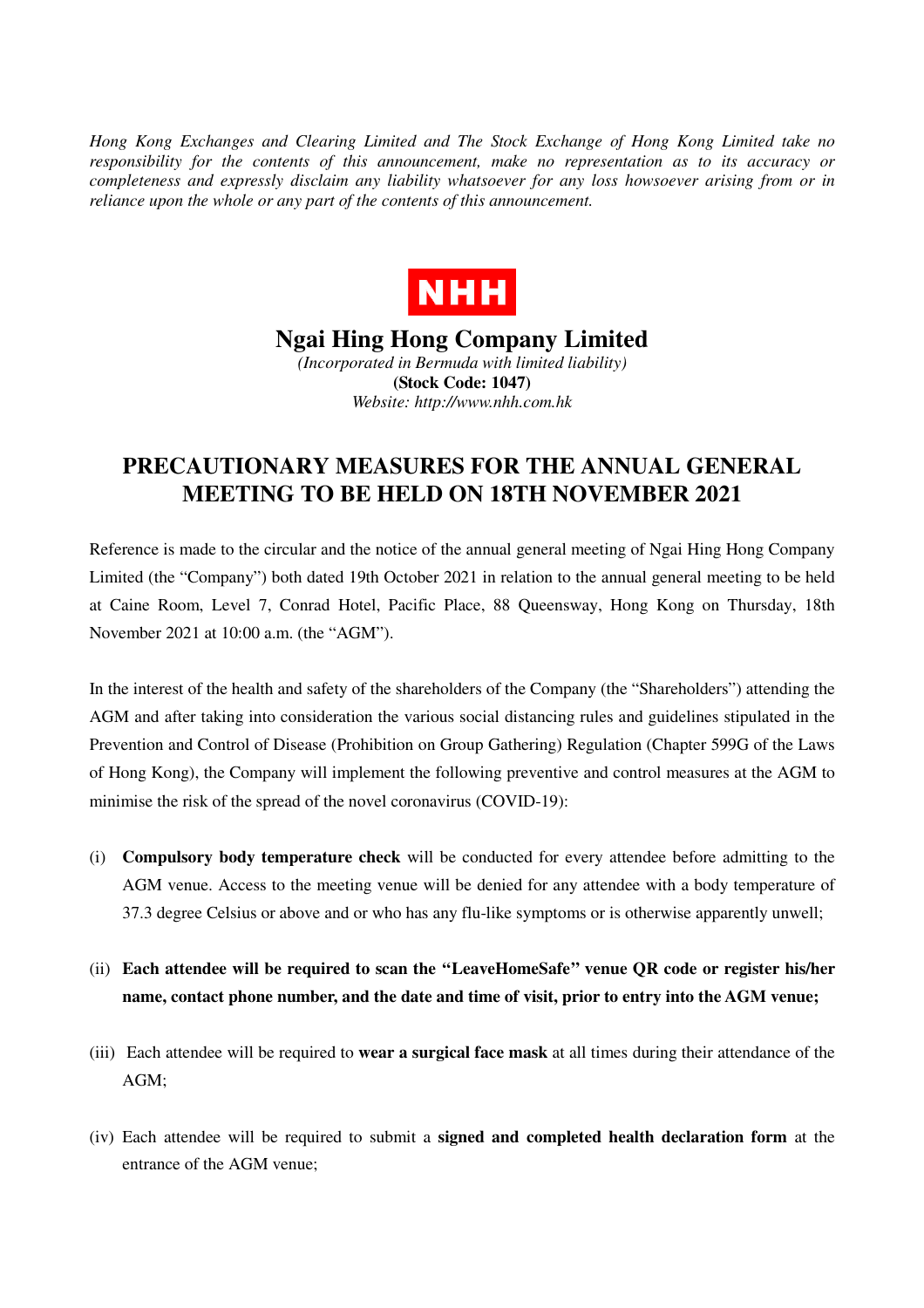*Hong Kong Exchanges and Clearing Limited and The Stock Exchange of Hong Kong Limited take no responsibility for the contents of this announcement, make no representation as to its accuracy or completeness and expressly disclaim any liability whatsoever for any loss howsoever arising from or in reliance upon the whole or any part of the contents of this announcement.* 



## **Ngai Hing Hong Company Limited**  *(Incorporated in Bermuda with limited liability)*  **(Stock Code: 1047)**

*Website: http://www.nhh.com.hk* 

## **PRECAUTIONARY MEASURES FOR THE ANNUAL GENERAL MEETING TO BE HELD ON 18TH NOVEMBER 2021**

Reference is made to the circular and the notice of the annual general meeting of Ngai Hing Hong Company Limited (the "Company") both dated 19th October 2021 in relation to the annual general meeting to be held at Caine Room, Level 7, Conrad Hotel, Pacific Place, 88 Queensway, Hong Kong on Thursday, 18th November 2021 at 10:00 a.m. (the "AGM").

In the interest of the health and safety of the shareholders of the Company (the "Shareholders") attending the AGM and after taking into consideration the various social distancing rules and guidelines stipulated in the Prevention and Control of Disease (Prohibition on Group Gathering) Regulation (Chapter 599G of the Laws of Hong Kong), the Company will implement the following preventive and control measures at the AGM to minimise the risk of the spread of the novel coronavirus (COVID-19):

- (i) **Compulsory body temperature check** will be conducted for every attendee before admitting to the AGM venue. Access to the meeting venue will be denied for any attendee with a body temperature of 37.3 degree Celsius or above and or who has any flu-like symptoms or is otherwise apparently unwell;
- (ii) **Each attendee will be required to scan the ''LeaveHomeSafe'' venue QR code or register his/her name, contact phone number, and the date and time of visit, prior to entry into the AGM venue;**
- (iii) Each attendee will be required to **wear a surgical face mask** at all times during their attendance of the AGM;
- (iv) Each attendee will be required to submit a **signed and completed health declaration form** at the entrance of the AGM venue;